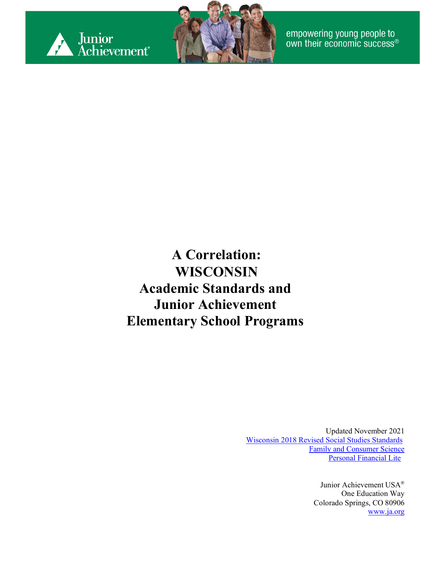



empowering young people to<br>own their economic success®

**A Correlation: WISCONSIN Academic Standards and Junior Achievement Elementary School Programs**

> Updated November 2021 [Wisconsin 2018 Revised Social Studies Standards](https://dpi.wi.gov/sites/default/files/imce/standards/New%20pdfs/2018_WI_Social_Studies_Standards.pdf) [Family and Consumer Science](https://dpi.wi.gov/fcs) [Personal Financial Lite](https://dpi.wi.gov/sites/default/files/imce/standards/pdf/pfl.pdf)

> > Junior Achievement USA® One Education Way Colorado Springs, CO 80906 [www.ja.org](http://www.ja.org/)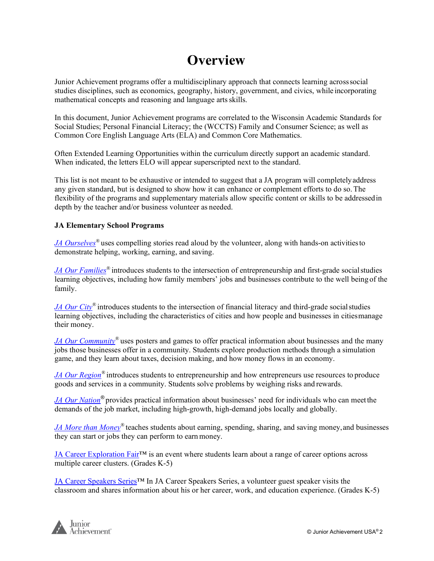#### **Overview**

Junior Achievement programs offer a multidisciplinary approach that connects learning acrosssocial studies disciplines, such as economics, geography, history, government, and civics, while incorporating mathematical concepts and reasoning and language artsskills.

In this document, Junior Achievement programs are correlated to the Wisconsin Academic Standards for Social Studies; Personal Financial Literacy; the (WCCTS) Family and Consumer Science; as well as Common Core English Language Arts (ELA) and Common Core Mathematics.

Often Extended Learning Opportunities within the curriculum directly support an academic standard. When indicated, the letters ELO will appear superscripted next to the standard.

This list is not meant to be exhaustive or intended to suggest that a JA program will completelyaddress any given standard, but is designed to show how it can enhance or complement efforts to do so.The flexibility of the programs and supplementary materials allow specific content or skills to be addressedin depth by the teacher and/or business volunteer as needed.

#### **JA Elementary School Programs**

*JA Ourselves*<sup>®</sup> uses compelling stories read aloud by the volunteer, along with hands-on activities to demonstrate helping, working, earning, and saving.

*JA Our Families<sup>®</sup>* introduces students to the intersection of entrepreneurship and first-grade social studies learning objectives, including how family members' jobs and businesses contribute to the well being of the family.

*JA Our City®* introduces students to the intersection of financial literacy and third-grade socialstudies learning objectives, including the characteristics of cities and how people and businesses in citiesmanage their money.

*JA Our Community*<sup>®</sup> uses posters and games to offer practical information about businesses and the many jobs those businesses offer in a community. Students explore production methods through a simulation game, and they learn about taxes, decision making, and how money flows in an economy.

*[JA Our Region](#page-11-0)*<sup>®</sup> introduces students to entrepreneurship and how entrepreneurs use resources to produce goods and services in a community. Students solve problems by weighing risks and rewards.

*JA Our Nation®* provides practical information about businesses' need for individuals who can meetthe demands of the job market, including high-growth, high-demand jobs locally and globally.

*JA More than Money*<sup>®</sup> teaches students about earning, spending, sharing, and saving money, and businesses they can start or jobs they can perform to earnmoney.

JA Career Exploration Fair™ is an event where students learn about a range of career options across multiple career clusters. (Grades K-5)

JA Career Speakers Series™ In JA Career Speakers Series, a volunteer guest speaker visits the classroom and shares information about his or her career, work, and education experience. (Grades K-5)

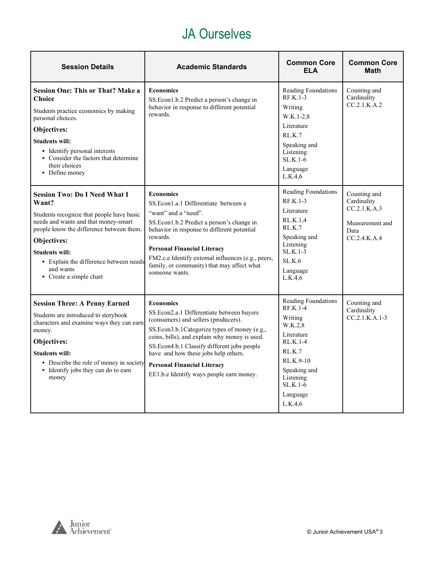#### JA Ourselves

<span id="page-2-0"></span>

| <b>Session Details</b>                                                                                                                                                                                                                                                                                   | <b>Academic Standards</b>                                                                                                                                                                                                                                                                                                                                                       | <b>Common Core</b><br><b>ELA</b>                                                                                                                                        | <b>Common Core</b><br><b>Math</b>                                                      |
|----------------------------------------------------------------------------------------------------------------------------------------------------------------------------------------------------------------------------------------------------------------------------------------------------------|---------------------------------------------------------------------------------------------------------------------------------------------------------------------------------------------------------------------------------------------------------------------------------------------------------------------------------------------------------------------------------|-------------------------------------------------------------------------------------------------------------------------------------------------------------------------|----------------------------------------------------------------------------------------|
| <b>Session One: This or That? Make a</b><br><b>Choice</b><br>Students practice economics by making<br>personal choices.<br>Objectives:<br><b>Students will:</b><br>• Identify personal interests<br>• Consider the factors that determine<br>their choices<br>• Define money                             | <b>Economics</b><br>SS. Econ 1.b.2 Predict a person's change in<br>behavior in response to different potential<br>rewards.                                                                                                                                                                                                                                                      | Reading Foundations<br>$RF.K.1-3$<br>Writing<br>$W.K.1-2.8$<br>Literature<br>RLK.7<br>Speaking and<br>Listening<br>$SL.K.1-6$<br>Language<br>L.K.4,6                    | Counting and<br>Cardinality<br>CC.2.1.K.A.2                                            |
| <b>Session Two: Do I Need What I</b><br>Want?<br>Students recognize that people have basic<br>needs and wants and that money-smart<br>people know the difference between them.<br>Objectives:<br><b>Students will:</b><br>• Explain the difference between needs<br>and wants<br>• Create a simple chart | <b>Economics</b><br>SS. Econ1.a.1 Differentiate between a<br>"want" and a "need".<br>SS. Econ 1.b.2 Predict a person's change in<br>behavior in response to different potential<br>rewards.<br><b>Personal Financial Literacy</b><br>FM2.c.e Identify external influences (e.g., peers,<br>family, or community) that may affect what<br>someone wants.                         | Reading Foundations<br>$RF.K.1-3$<br>Literature<br>RL.K.1,4<br>RL.K.7<br>Speaking and<br>Listening<br>$SLK.1-3$<br>SLK.6<br>Language<br>L.K.4.6                         | Counting and<br>Cardinality<br>CC.2.1.K.A.3<br>Measurement and<br>Data<br>CC.2.4.K.A.4 |
| <b>Session Three: A Penny Earned</b><br>Students are introduced to storybook<br>characters and examine ways they can earn<br>money.<br>Objectives:<br><b>Students will:</b><br>• Describe the role of money in society<br>• Identify jobs they can do to earn<br>money                                   | <b>Economics</b><br>SS.Econ2.a.1 Differentiate between buyers<br>(consumers) and sellers (producers).<br>SS.Econ3.b.1Categorize types of money (e.g.,<br>coins, bills), and explain why money is used.<br>SS.Econ4.b.1 Classify different jobs people<br>have and how these jobs help others.<br><b>Personal Financial Literacy</b><br>EE1.b.e Identify ways people earn money. | Reading Foundations<br>RF.K.1-4<br>Writing<br>W.K.2.8<br>Literature<br>$RL.K.1-4$<br>RLK.7<br>RL.K.9-10<br>Speaking and<br>Listening<br>SL.K.1-6<br>Language<br>L.K.4.6 | Counting and<br>Cardinality<br>$CC.2.1.K.A.1-3$                                        |

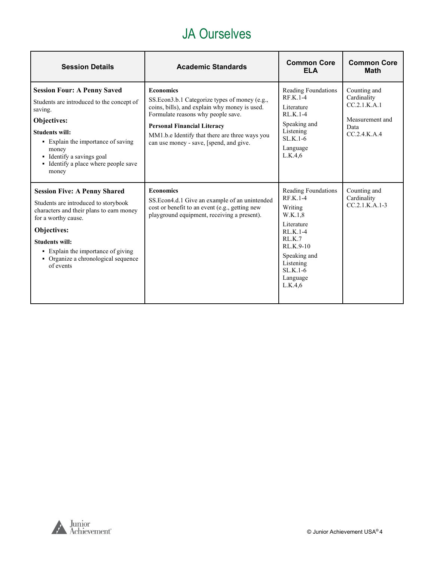#### JA Ourselves

| <b>Session Details</b>                                                                                                                                                                                                                                                           | <b>Academic Standards</b>                                                                                                                                                                                                                                                                     | <b>Common Core</b><br><b>ELA</b>                                                                                                                                                | <b>Common Core</b><br><b>Math</b>                                                        |
|----------------------------------------------------------------------------------------------------------------------------------------------------------------------------------------------------------------------------------------------------------------------------------|-----------------------------------------------------------------------------------------------------------------------------------------------------------------------------------------------------------------------------------------------------------------------------------------------|---------------------------------------------------------------------------------------------------------------------------------------------------------------------------------|------------------------------------------------------------------------------------------|
| <b>Session Four: A Penny Saved</b><br>Students are introduced to the concept of<br>saving.<br>Objectives:<br><b>Students will:</b><br>• Explain the importance of saving<br>money<br>• Identify a savings goal<br>• Identify a place where people save<br>money                  | <b>Economics</b><br>SS. Econ 3.b.1 Categorize types of money (e.g.,<br>coins, bills), and explain why money is used.<br>Formulate reasons why people save.<br><b>Personal Financial Literacy</b><br>MM1.b.e Identify that there are three ways you<br>can use money - save, [spend, and give. | Reading Foundations<br>$RFK.1-4$<br>Literature<br>RL.K.1-4<br>Speaking and<br>Listening<br>$SLK.1-6$<br>Language<br>L.K.4,6                                                     | Counting and<br>Cardinality<br>CC.2.1.K.A.1<br>Measurement and<br>Data<br>CC.2.4. K. A.4 |
| <b>Session Five: A Penny Shared</b><br>Students are introduced to storybook<br>characters and their plans to earn money<br>for a worthy cause.<br>Objectives:<br><b>Students will:</b><br>• Explain the importance of giving<br>• Organize a chronological sequence<br>of events | <b>Economics</b><br>SS.Econ4.d.1 Give an example of an unintended<br>cost or benefit to an event (e.g., getting new<br>playground equipment, receiving a present).                                                                                                                            | Reading Foundations<br><b>RF.K.1-4</b><br>Writing<br>W.K.1,8<br>Literature<br>$RLK.1-4$<br>RLK.7<br>$RLK.9-10$<br>Speaking and<br>Listening<br>$SLK.1-6$<br>Language<br>L.K.4.6 | Counting and<br>Cardinality<br>$CC.2.1.K.A.1-3$                                          |

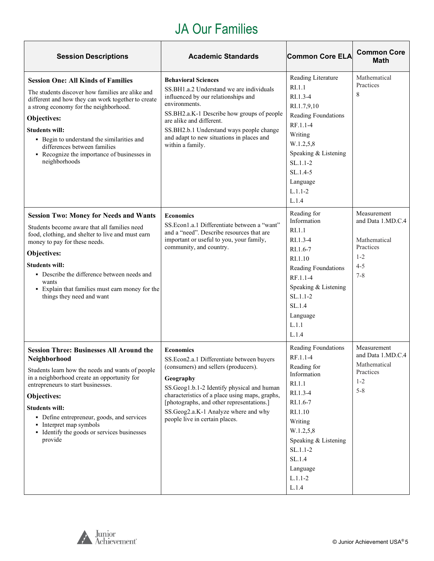#### JA Our Families

<span id="page-4-0"></span>

| <b>Session Descriptions</b>                                                                                                                                                                                                                                                                                                                                                         | <b>Academic Standards</b>                                                                                                                                                                                                                                                                                                                 | <b>Common Core ELA</b>                                                                                                                                                                                               | <b>Common Core</b><br><b>Math</b>                                                              |
|-------------------------------------------------------------------------------------------------------------------------------------------------------------------------------------------------------------------------------------------------------------------------------------------------------------------------------------------------------------------------------------|-------------------------------------------------------------------------------------------------------------------------------------------------------------------------------------------------------------------------------------------------------------------------------------------------------------------------------------------|----------------------------------------------------------------------------------------------------------------------------------------------------------------------------------------------------------------------|------------------------------------------------------------------------------------------------|
| <b>Session One: All Kinds of Families</b><br>The students discover how families are alike and<br>different and how they can work together to create<br>a strong economy for the neighborhood.<br>Objectives:<br><b>Students will:</b><br>• Begin to understand the similarities and<br>differences between families<br>• Recognize the importance of businesses in<br>neighborhoods | <b>Behavioral Sciences</b><br>SS.BH1.a.2 Understand we are individuals<br>influenced by our relationships and<br>environments.<br>SS.BH2.a.K-1 Describe how groups of people<br>are alike and different.<br>SS.BH2.b.1 Understand ways people change<br>and adapt to new situations in places and<br>within a family.                     | Reading Literature<br>RI.1.1<br>$RI.1.3-4$<br>RI.1.7,9,10<br>Reading Foundations<br>RF.1.1-4<br>Writing<br>W.1.2,5,8<br>Speaking & Listening<br>$SL.1.1-2$<br>$SL.1.4-5$<br>Language<br>$L.1.1 - 2$<br>L.1.4         | Mathematical<br>Practices<br>8                                                                 |
| <b>Session Two: Money for Needs and Wants</b><br>Students become aware that all families need<br>food, clothing, and shelter to live and must earn<br>money to pay for these needs.<br>Objectives:<br><b>Students will:</b><br>• Describe the difference between needs and<br>wants<br>• Explain that families must earn money for the<br>things they need and want                 | <b>Economics</b><br>SS.Econ1.a.1 Differentiate between a "want"<br>and a "need". Describe resources that are<br>important or useful to you, your family,<br>community, and country.                                                                                                                                                       | Reading for<br>Information<br>RI.1.1<br>$RI.1.3-4$<br>RI.1.6-7<br>RI.1.10<br>Reading Foundations<br>RF.1.1-4<br>Speaking & Listening<br>$SL.1.1-2$<br>SL.1.4<br>Language<br>L.1.1<br>L.1.4                           | Measurement<br>and Data 1.MD.C.4<br>Mathematical<br>Practices<br>$1 - 2$<br>$4 - 5$<br>$7 - 8$ |
| <b>Session Three: Businesses All Around the</b><br>Neighborhood<br>Students learn how the needs and wants of people<br>in a neighborhood create an opportunity for<br>entrepreneurs to start businesses.<br>Objectives:<br><b>Students will:</b><br>• Define entrepreneur, goods, and services<br>• Interpret map symbols<br>• Identify the goods or services businesses<br>provide | <b>Economics</b><br>SS.Econ2.a.1 Differentiate between buyers<br>(consumers) and sellers (producers).<br>Geography<br>SS.Geog1.b.1-2 Identify physical and human<br>characteristics of a place using maps, graphs,<br>[photographs, and other representations.]<br>SS.Geog2.a.K-1 Analyze where and why<br>people live in certain places. | Reading Foundations<br>RF.1.1-4<br>Reading for<br>Information<br>RI.1.1<br>RI.1.3-4<br>RI.1.6-7<br>RI.1.10<br>Writing<br>W.1.2,5,8<br>Speaking & Listening<br>SL.1.1-2<br>SL.1.4<br>Language<br>$L.1.1 - 2$<br>L.1.4 | Measurement<br>and Data 1.MD.C.4<br>Mathematical<br>Practices<br>$1 - 2$<br>$5 - 8$            |



٦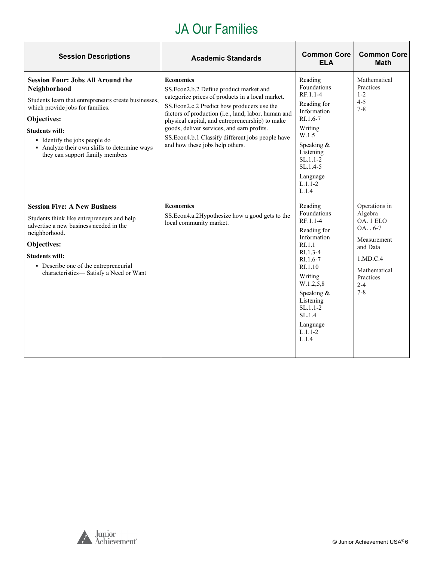#### JA Our Families

| <b>Session Descriptions</b>                                                                                                                                                                                                                                                                                      | <b>Academic Standards</b>                                                                                                                                                                                                                                                                                                                                                                                      | <b>Common Core</b><br><b>ELA</b>                                                                                                                                                                                              | <b>Common Core</b><br><b>Math</b>                                                                                                              |
|------------------------------------------------------------------------------------------------------------------------------------------------------------------------------------------------------------------------------------------------------------------------------------------------------------------|----------------------------------------------------------------------------------------------------------------------------------------------------------------------------------------------------------------------------------------------------------------------------------------------------------------------------------------------------------------------------------------------------------------|-------------------------------------------------------------------------------------------------------------------------------------------------------------------------------------------------------------------------------|------------------------------------------------------------------------------------------------------------------------------------------------|
| <b>Session Four: Jobs All Around the</b><br>Neighborhood<br>Students learn that entrepreneurs create businesses,<br>which provide jobs for families.<br>Objectives:<br><b>Students will:</b><br>• Identify the jobs people do<br>• Analyze their own skills to determine ways<br>they can support family members | <b>Economics</b><br>SS. Econ 2.b. 2 Define product market and<br>categorize prices of products in a local market.<br>SS.Econ2.c.2 Predict how producers use the<br>factors of production (i.e., land, labor, human and<br>physical capital, and entrepreneurship) to make<br>goods, deliver services, and earn profits.<br>SS.Econ4.b.1 Classify different jobs people have<br>and how these jobs help others. | Reading<br>Foundations<br>RF.1.1-4<br>Reading for<br>Information<br>$R1.6-7$<br>Writing<br>W.1.5<br>Speaking &<br>Listening<br>$SL.1.1-2$<br>$SL.1.4-5$<br>Language<br>$L.1.1 - 2$<br>L.1.4                                   | Mathematical<br>Practices<br>$1 - 2$<br>$4 - 5$<br>$7 - 8$                                                                                     |
| <b>Session Five: A New Business</b><br>Students think like entrepreneurs and help<br>advertise a new business needed in the<br>neighborhood.<br>Objectives:<br><b>Students will:</b><br>• Describe one of the entrepreneurial<br>characteristics-Satisfy a Need or Want                                          | <b>Economics</b><br>SS. Econ4.a. 2Hypothesize how a good gets to the<br>local community market.                                                                                                                                                                                                                                                                                                                | Reading<br>Foundations<br>RF.1.1-4<br>Reading for<br>Information<br>RL1.1<br>$RI.1.3-4$<br>RI.1.6-7<br>RI.1.10<br>Writing<br>W.1.2,5,8<br>Speaking &<br>Listening<br>$SL.1.1-2$<br>SL.1.4<br>Language<br>$L.1.1 - 2$<br>L.1.4 | Operations in<br>Algebra<br>OA. 1 ELO<br>$OA. . 6-7$<br>Measurement<br>and Data<br>1.MD.C.4<br>Mathematical<br>Practices<br>$2 - 4$<br>$7 - 8$ |

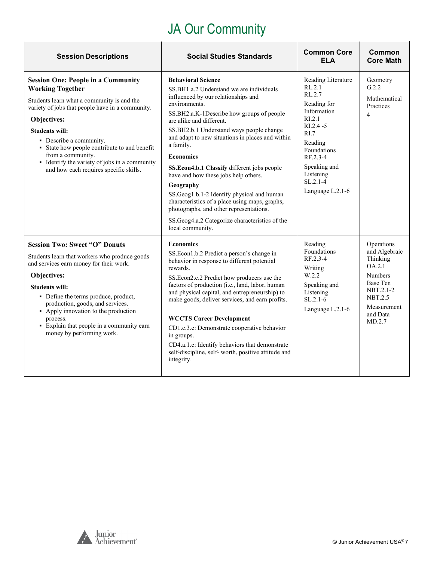## JA Our Community

| <b>Session Descriptions</b>                                                                                                                                                                                                                                                                                                                                                                               | <b>Social Studies Standards</b>                                                                                                                                                                                                                                                                                                                                                                                                                                                                                                                                                                                                                              | <b>Common Core</b><br><b>ELA</b>                                                                                                                                                                                        | Common<br><b>Core Math</b>                                                                                                                          |
|-----------------------------------------------------------------------------------------------------------------------------------------------------------------------------------------------------------------------------------------------------------------------------------------------------------------------------------------------------------------------------------------------------------|--------------------------------------------------------------------------------------------------------------------------------------------------------------------------------------------------------------------------------------------------------------------------------------------------------------------------------------------------------------------------------------------------------------------------------------------------------------------------------------------------------------------------------------------------------------------------------------------------------------------------------------------------------------|-------------------------------------------------------------------------------------------------------------------------------------------------------------------------------------------------------------------------|-----------------------------------------------------------------------------------------------------------------------------------------------------|
| <b>Session One: People in a Community</b><br><b>Working Together</b><br>Students learn what a community is and the<br>variety of jobs that people have in a community.<br>Objectives:<br><b>Students will:</b><br>• Describe a community.<br>• State how people contribute to and benefit<br>from a community.<br>• Identify the variety of jobs in a community<br>and how each requires specific skills. | <b>Behavioral Science</b><br>SS.BH1.a.2 Understand we are individuals<br>influenced by our relationships and<br>environments.<br>SS.BH2.a.K-1Describe how groups of people<br>are alike and different.<br>SS.BH2.b.1 Understand ways people change<br>and adapt to new situations in places and within<br>a family.<br><b>Economics</b><br>SS.Econ4.b.1 Classify different jobs people<br>have and how these jobs help others.<br>Geography<br>SS.Geog1.b.1-2 Identify physical and human<br>characteristics of a place using maps, graphs,<br>photographs, and other representations.<br>SS.Geog4.a.2 Categorize characteristics of the<br>local community. | Reading Literature<br>RL.2.1<br>RL.2.7<br>Reading for<br>Information<br>R <sub>L</sub> 2.1<br>$RI.2.4 - 5$<br>RI.7<br>Reading<br>Foundations<br>RF.2.3-4<br>Speaking and<br>Listening<br>$SL.2.1-4$<br>Language L.2.1-6 | Geometry<br>G.2.2<br>Mathematical<br>Practices<br>$\overline{4}$                                                                                    |
| <b>Session Two: Sweet "O" Donuts</b><br>Students learn that workers who produce goods<br>and services earn money for their work.<br>Objectives:<br><b>Students will:</b><br>• Define the terms produce, product,<br>production, goods, and services.<br>• Apply innovation to the production<br>process.<br>• Explain that people in a community earn<br>money by performing work.                        | <b>Economics</b><br>SS.Econ1.b.2 Predict a person's change in<br>behavior in response to different potential<br>rewards.<br>SS.Econ2.c.2 Predict how producers use the<br>factors of production (i.e., land, labor, human<br>and physical capital, and entrepreneurship) to<br>make goods, deliver services, and earn profits.<br><b>WCCTS Career Development</b><br>CD1.c.3.e: Demonstrate cooperative behavior<br>in groups.<br>CD4.a.1.e: Identify behaviors that demonstrate<br>self-discipline, self-worth, positive attitude and<br>integrity.                                                                                                         | Reading<br>Foundations<br>RF.2.3-4<br>Writing<br>W.2.2<br>Speaking and<br>Listening<br>$SL.2.1-6$<br>Language L.2.1-6                                                                                                   | Operations<br>and Algebraic<br>Thinking<br>OA.2.1<br><b>Numbers</b><br>Base Ten<br>NBT.2.1-2<br><b>NBT.2.5</b><br>Measurement<br>and Data<br>MD.2.7 |

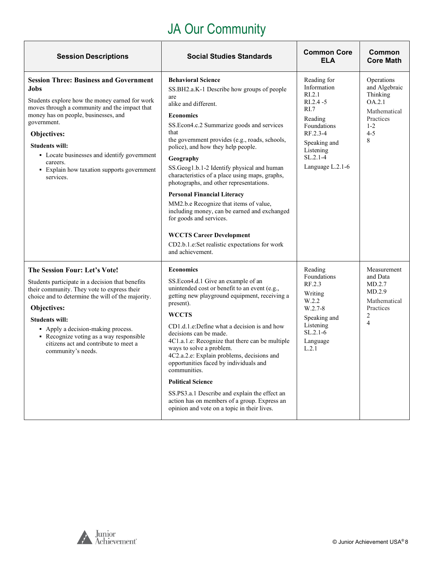## JA Our Community

| <b>Session Descriptions</b>                                                                                                                                                                                                                                                                                                                                                   | <b>Social Studies Standards</b>                                                                                                                                                                                                                                                                                                                                                                                                                                                                                                                                                                                                                                                                    | <b>Common Core</b><br><b>ELA</b>                                                                                                                                  | Common<br><b>Core Math</b>                                                                                |
|-------------------------------------------------------------------------------------------------------------------------------------------------------------------------------------------------------------------------------------------------------------------------------------------------------------------------------------------------------------------------------|----------------------------------------------------------------------------------------------------------------------------------------------------------------------------------------------------------------------------------------------------------------------------------------------------------------------------------------------------------------------------------------------------------------------------------------------------------------------------------------------------------------------------------------------------------------------------------------------------------------------------------------------------------------------------------------------------|-------------------------------------------------------------------------------------------------------------------------------------------------------------------|-----------------------------------------------------------------------------------------------------------|
| <b>Session Three: Business and Government</b><br>Jobs<br>Students explore how the money earned for work<br>moves through a community and the impact that<br>money has on people, businesses, and<br>government.<br>Objectives:<br><b>Students will:</b><br>• Locate businesses and identify government<br>careers.<br>• Explain how taxation supports government<br>services. | <b>Behavioral Science</b><br>SS.BH2.a.K-1 Describe how groups of people<br>are<br>alike and different.<br><b>Economics</b><br>SS.Econ4.c.2 Summarize goods and services<br>that<br>the government provides (e.g., roads, schools,<br>police), and how they help people.<br>Geography<br>SS.Geog1.b.1-2 Identify physical and human<br>characteristics of a place using maps, graphs,<br>photographs, and other representations.<br><b>Personal Financial Literacy</b><br>MM2.b.e Recognize that items of value,<br>including money, can be earned and exchanged<br>for goods and services.<br><b>WCCTS Career Development</b><br>CD2.b.1.e:Set realistic expectations for work<br>and achievement. | Reading for<br>Information<br>RI.2.1<br>$RI.2.4 - 5$<br>RI.7<br>Reading<br>Foundations<br>RF.2.3-4<br>Speaking and<br>Listening<br>$SL.2.1-4$<br>Language L.2.1-6 | Operations<br>and Algebraic<br>Thinking<br>OA.2.1<br>Mathematical<br>Practices<br>$1 - 2$<br>$4 - 5$<br>8 |
| The Session Four: Let's Vote!<br>Students participate in a decision that benefits<br>their community. They vote to express their<br>choice and to determine the will of the majority.<br>Objectives:<br><b>Students will:</b><br>• Apply a decision-making process.<br>• Recognize voting as a way responsible<br>citizens act and contribute to meet a<br>community's needs. | <b>Economics</b><br>SS.Econ4.d.1 Give an example of an<br>unintended cost or benefit to an event (e.g.,<br>getting new playground equipment, receiving a<br>present).<br><b>WCCTS</b><br>CD1.d.1.e:Define what a decision is and how<br>decisions can be made.<br>4C1.a.1.e: Recognize that there can be multiple<br>ways to solve a problem.<br>4C2.a.2.e: Explain problems, decisions and<br>opportunities faced by individuals and<br>communities.<br><b>Political Science</b><br>SS.PS3.a.1 Describe and explain the effect an<br>action has on members of a group. Express an<br>opinion and vote on a topic in their lives.                                                                  | Reading<br>Foundations<br>RF.2.3<br>Writing<br>W.2.2<br>$W.2.7-8$<br>Speaking and<br>Listening<br>$SL.2.1-6$<br>Language<br>L.2.1                                 | Measurement<br>and Data<br>MD.2.7<br>MD.2.9<br>Mathematical<br>Practices<br>2<br>$\overline{4}$           |

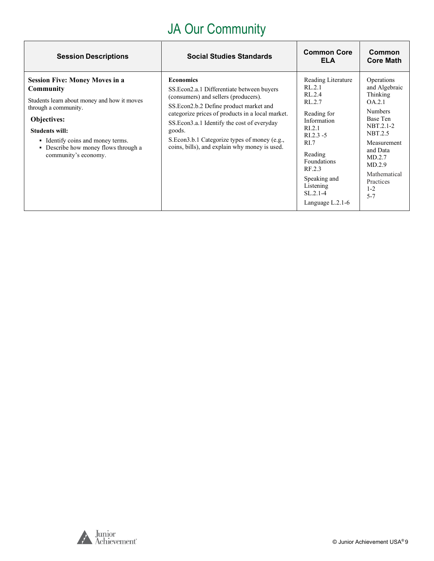## JA Our Community

| <b>Session Descriptions</b>                                                                                                                                                                                                                                                   | <b>Social Studies Standards</b>                                                                                                                                                                                                                                                                                                                                         | <b>Common Core</b><br>ELA                                                                                                                                                                                                                   | Common<br><b>Core Math</b>                                                                                                                                                                                |
|-------------------------------------------------------------------------------------------------------------------------------------------------------------------------------------------------------------------------------------------------------------------------------|-------------------------------------------------------------------------------------------------------------------------------------------------------------------------------------------------------------------------------------------------------------------------------------------------------------------------------------------------------------------------|---------------------------------------------------------------------------------------------------------------------------------------------------------------------------------------------------------------------------------------------|-----------------------------------------------------------------------------------------------------------------------------------------------------------------------------------------------------------|
| <b>Session Five: Money Moves in a</b><br>Community<br>Students learn about money and how it moves<br>through a community.<br><b>Objectives:</b><br><b>Students will:</b><br>• Identify coins and money terms.<br>• Describe how money flows through a<br>community's economy. | <b>Economics</b><br>SS. Econ 2.a. 1 Differentiate between buyers<br>(consumers) and sellers (producers).<br>SS. Econ 2.b. 2 Define product market and<br>categorize prices of products in a local market.<br>SS. Econ 3.a.1 Identify the cost of everyday<br>goods.<br>S. Econ 3.b. 1 Categorize types of money (e.g.,<br>coins, bills), and explain why money is used. | Reading Literature<br>RL.2.1<br>RL.2.4<br>RL.2.7<br>Reading for<br>Information<br>R <sub>L.2.1</sub><br>$R1.2.3 - 5$<br>R <sub>L</sub><br>Reading<br>Foundations<br>RF.2.3<br>Speaking and<br>Listening<br>$SL.2.1-4$<br>Language $L.2.1-6$ | Operations<br>and Algebraic<br>Thinking<br>OA.2.1<br><b>Numbers</b><br>Base Ten<br>NBT.2.1-2<br>NBT.2.5<br>Measurement<br>and Data<br>MD.2.7<br>MD.2.9<br>Mathematical<br>Practices<br>$1 - 2$<br>$5 - 7$ |

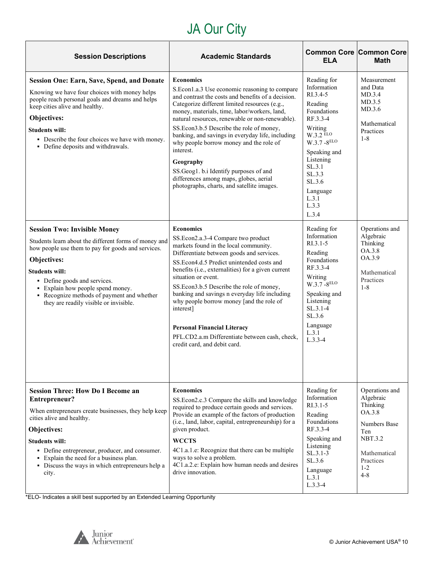# JA Our City

| <b>Session Descriptions</b>                                                                                                                                                                                                                                                                                                                             | <b>Academic Standards</b>                                                                                                                                                                                                                                                                                                                                                                                                                                                                                                                                                          | <b>Common Core Common Core</b><br><b>ELA</b>                                                                                                                                                                                  | <b>Math</b>                                                                                                                                   |
|---------------------------------------------------------------------------------------------------------------------------------------------------------------------------------------------------------------------------------------------------------------------------------------------------------------------------------------------------------|------------------------------------------------------------------------------------------------------------------------------------------------------------------------------------------------------------------------------------------------------------------------------------------------------------------------------------------------------------------------------------------------------------------------------------------------------------------------------------------------------------------------------------------------------------------------------------|-------------------------------------------------------------------------------------------------------------------------------------------------------------------------------------------------------------------------------|-----------------------------------------------------------------------------------------------------------------------------------------------|
| <b>Session One: Earn, Save, Spend, and Donate</b><br>Knowing we have four choices with money helps<br>people reach personal goals and dreams and helps<br>keep cities alive and healthy.<br>Objectives:<br><b>Students will:</b><br>• Describe the four choices we have with money.<br>• Define deposits and withdrawals.                               | <b>Economics</b><br>S.Econ1.a.3 Use economic reasoning to compare<br>and contrast the costs and benefits of a decision.<br>Categorize different limited resources (e.g.,<br>money, materials, time, labor/workers, land,<br>natural resources, renewable or non-renewable).<br>SS.Econ3.b.5 Describe the role of money,<br>banking, and savings in everyday life, including<br>why people borrow money and the role of<br>interest.<br>Geography<br>SS.Geog1. b.i Identify purposes of and<br>differences among maps, globes, aerial<br>photographs, charts, and satellite images. | Reading for<br>Information<br>RI.3.4-5<br>Reading<br>Foundations<br>RF.3.3-4<br>Writing<br>$W.3.2$ ELO<br>$W.3.7 - 8^{ELO}$<br>Speaking and<br>Listening<br>SL.3.1<br>SL.3.3<br>SL.3.6<br>Language<br>L.3.1<br>L.3.3<br>L.3.4 | Measurement<br>and Data<br>MD.3.4<br>MD.3.5<br>MD.3.6<br>Mathematical<br>Practices<br>$1 - 8$                                                 |
| <b>Session Two: Invisible Money</b><br>Students learn about the different forms of money and<br>how people use them to pay for goods and services.<br>Objectives:<br><b>Students will:</b><br>• Define goods and services.<br>• Explain how people spend money.<br>• Recognize methods of payment and whether<br>they are readily visible or invisible. | <b>Economics</b><br>SS.Econ2.a.3-4 Compare two product<br>markets found in the local community.<br>Differentiate between goods and services.<br>SS.Econ4.d.5 Predict unintended costs and<br>benefits (i.e., externalities) for a given current<br>situation or event.<br>SS.Econ3.b.5 Describe the role of money,<br>banking and savings n everyday life including<br>why people borrow money [and the role of<br>interest]<br><b>Personal Financial Literacy</b><br>PFL.CD2.a.m Differentiate between cash, check,<br>credit card, and debit card.                               | Reading for<br>Information<br>$R1.3.1-5$<br>Reading<br>Foundations<br>RF.3.3-4<br>Writing<br>$W.3.7 - 8^{ELO}$<br>Speaking and<br>Listening<br>$SL.3.1-4$<br>SL.3.6<br>Language<br>L.3.1<br>$L.3.3-4$                         | Operations and<br>Algebraic<br>Thinking<br>OA.3.8<br>OA.3.9<br>Mathematical<br>Practices<br>$1 - 8$                                           |
| <b>Session Three: How Do I Become an</b><br>Entrepreneur?<br>When entrepreneurs create businesses, they help keep<br>cities alive and healthy.<br>Objectives:<br><b>Students will:</b><br>• Define entrepreneur, producer, and consumer.<br>• Explain the need for a business plan.<br>• Discuss the ways in which entrepreneurs help a<br>city.        | <b>Economics</b><br>SS.Econ2.c.3 Compare the skills and knowledge<br>required to produce certain goods and services.<br>Provide an example of the factors of production<br>(i.e., land, labor, capital, entrepreneurship) for a<br>given product.<br><b>WCCTS</b><br>4C1.a.1.e: Recognize that there can be multiple<br>ways to solve a problem.<br>4C1.a.2.e: Explain how human needs and desires<br>drive innovation.                                                                                                                                                            | Reading for<br>Information<br>$R1.3.1-5$<br>Reading<br>Foundations<br>RF.3.3-4<br>Speaking and<br>Listening<br>$SL.3.1-3$<br>SL.3.6<br>Language<br>L.3.1<br>$L.3.3-4$                                                         | Operations and<br>Algebraic<br>Thinking<br>OA.3.8<br>Numbers Base<br>Ten<br><b>NBT.3.2</b><br>Mathematical<br>Practices<br>$1 - 2$<br>$4 - 8$ |

\*ELO- Indicates a skill best supported by an Extended Learning Opportunity

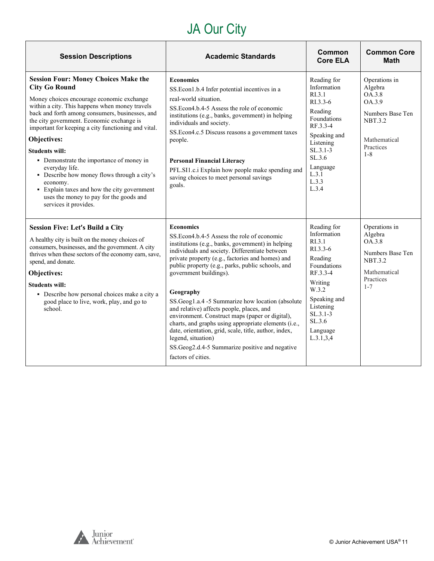# JA Our City

| <b>Session Descriptions</b>                                                                                                                                                                                                                                                                                                                                                                                                                                                                                                                                                                                   | <b>Academic Standards</b>                                                                                                                                                                                                                                                                                                                                                                                                                                                                                                                                                                                                                                                                 | Common<br><b>Core ELA</b>                                                                                                                                                                              | <b>Common Core</b><br><b>Math</b>                                                                                                 |
|---------------------------------------------------------------------------------------------------------------------------------------------------------------------------------------------------------------------------------------------------------------------------------------------------------------------------------------------------------------------------------------------------------------------------------------------------------------------------------------------------------------------------------------------------------------------------------------------------------------|-------------------------------------------------------------------------------------------------------------------------------------------------------------------------------------------------------------------------------------------------------------------------------------------------------------------------------------------------------------------------------------------------------------------------------------------------------------------------------------------------------------------------------------------------------------------------------------------------------------------------------------------------------------------------------------------|--------------------------------------------------------------------------------------------------------------------------------------------------------------------------------------------------------|-----------------------------------------------------------------------------------------------------------------------------------|
| <b>Session Four: Money Choices Make the</b><br><b>City Go Round</b><br>Money choices encourage economic exchange<br>within a city. This happens when money travels<br>back and forth among consumers, businesses, and<br>the city government. Economic exchange is<br>important for keeping a city functioning and vital.<br>Objectives:<br><b>Students will:</b><br>• Demonstrate the importance of money in<br>everyday life.<br>• Describe how money flows through a city's<br>economy.<br>• Explain taxes and how the city government<br>uses the money to pay for the goods and<br>services it provides. | <b>Economics</b><br>SS.Econ1.b.4 Infer potential incentives in a<br>real-world situation.<br>SS. Econ4.b.4-5 Assess the role of economic<br>institutions (e.g., banks, government) in helping<br>individuals and society.<br>SS.Econ4.c.5 Discuss reasons a government taxes<br>people.<br><b>Personal Financial Literacy</b><br>PFL.SI1.c.i Explain how people make spending and<br>saving choices to meet personal savings<br>goals.                                                                                                                                                                                                                                                    | Reading for<br>Information<br>R <sub>1.3.1</sub><br>RI.3.3-6<br>Reading<br>Foundations<br>RF.3.3-4<br>Speaking and<br>Listening<br>$SL.3.1-3$<br>SL.3.6<br>Language<br>L.3.1<br>L.3.3<br>L.3.4         | Operations in<br>Algebra<br><b>OA.3.8</b><br>OA.3.9<br>Numbers Base Ten<br><b>NBT.3.2</b><br>Mathematical<br>Practices<br>$1 - 8$ |
| <b>Session Five: Let's Build a City</b><br>A healthy city is built on the money choices of<br>consumers, businesses, and the government. A city<br>thrives when these sectors of the economy earn, save,<br>spend, and donate.<br>Objectives:<br><b>Students will:</b><br>• Describe how personal choices make a city a<br>good place to live, work, play, and go to<br>school.                                                                                                                                                                                                                               | <b>Economics</b><br>SS. Econ4.b.4-5 Assess the role of economic<br>institutions (e.g., banks, government) in helping<br>individuals and society. Differentiate between<br>private property (e.g., factories and homes) and<br>public property (e.g., parks, public schools, and<br>government buildings).<br>Geography<br>SS.Geog1.a.4 -5 Summarize how location (absolute<br>and relative) affects people, places, and<br>environment. Construct maps (paper or digital),<br>charts, and graphs using appropriate elements (i.e.,<br>date, orientation, grid, scale, title, author, index,<br>legend, situation)<br>SS.Geog2.d.4-5 Summarize positive and negative<br>factors of cities. | Reading for<br>Information<br>R <sub>I.3.1</sub><br>RI.3.3-6<br>Reading<br>Foundations<br>RF.3.3-4<br>Writing<br>W.3.2<br>Speaking and<br>Listening<br>$SL.3.1-3$<br>SL.3.6<br>Language<br>L.3.1, 3, 4 | Operations in<br>Algebra<br>OA.3.8<br>Numbers Base Ten<br><b>NBT.3.2</b><br>Mathematical<br>Practices<br>$1 - 7$                  |

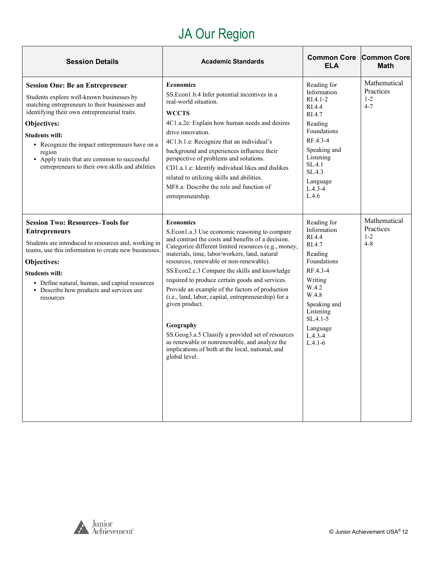# JA Our Region

<span id="page-11-0"></span>

| <b>Session Details</b>                                                                                                                                                                                                                                                                                                                                                                        | <b>Academic Standards</b>                                                                                                                                                                                                                                                                                                                                                                                                                                                                                                                                                                                                                                                                            | <b>Common Core</b><br><b>ELA</b>                                                                                                                                                                       | <b>Common Core</b><br><b>Math</b>               |
|-----------------------------------------------------------------------------------------------------------------------------------------------------------------------------------------------------------------------------------------------------------------------------------------------------------------------------------------------------------------------------------------------|------------------------------------------------------------------------------------------------------------------------------------------------------------------------------------------------------------------------------------------------------------------------------------------------------------------------------------------------------------------------------------------------------------------------------------------------------------------------------------------------------------------------------------------------------------------------------------------------------------------------------------------------------------------------------------------------------|--------------------------------------------------------------------------------------------------------------------------------------------------------------------------------------------------------|-------------------------------------------------|
| <b>Session One: Be an Entrepreneur</b><br>Students explore well-known businesses by<br>matching entrepreneurs to their businesses and<br>identifying their own entrepreneurial traits.<br>Objectives:<br><b>Students will:</b><br>• Recognize the impact entrepreneurs have on a<br>region<br>• Apply traits that are common to successful<br>entrepreneurs to their own skills and abilities | <b>Economics</b><br>SS. Econ1.b.4 Infer potential incentives in a<br>real-world situation.<br><b>WCCTS</b><br>4C1.a.2e: Explain how human needs and desires<br>drive innovation.<br>4C1.b.1.e: Recognize that an individual's<br>background and experiences influence their<br>perspective of problems and solutions.<br>CD1.a.1.e: Identify individual likes and dislikes<br>related to utilizing skills and abilities.<br>MF8.a: Describe the role and function of<br>entrepreneurship.                                                                                                                                                                                                            | Reading for<br>Information<br>$RI.4.1 - 2$<br>RI.4.4<br>RI.4.7<br>Reading<br><b>Foundations</b><br>RF.4.3-4<br>Speaking and<br>Listening<br>SL.4.1<br>SL.4.3<br>Language<br>$L.4.3 - 4$<br>L.4.6       | Mathematical<br>Practices<br>$1 - 2$<br>$4 - 7$ |
| <b>Session Two: Resources-Tools for</b><br><b>Entrepreneurs</b><br>Students are introduced to resources and, working in<br>teams, use this information to create new businesses.<br>Objectives:<br><b>Students will:</b><br>• Define natural, human, and capital resources<br>• Describe how products and services use<br>resources                                                           | <b>Economics</b><br>S.Econ1.a.3 Use economic reasoning to compare<br>and contrast the costs and benefits of a decision.<br>Categorize different limited resources (e.g., money,<br>materials, time, labor/workers, land, natural<br>resources, renewable or non-renewable).<br>SS.Econ2.c.3 Compare the skills and knowledge<br>required to produce certain goods and services.<br>Provide an example of the factors of production<br>(i.e., land, labor, capital, entrepreneurship) for a<br>given product.<br>Geography<br>SS.Geog3.a.5 Classify a provided set of resources<br>as renewable or nonrenewable, and analyze the<br>implications of both at the local, national, and<br>global level. | Reading for<br>Information<br>RI.4.4<br>RI.4.7<br>Reading<br>Foundations<br>RF.4.3-4<br>Writing<br>W.4.2<br>W.4.8<br>Speaking and<br>Listening<br>$SL.4.1 - 5$<br>Language<br>$L.4.3 - 4$<br>$L.4.1-6$ | Mathematical<br>Practices<br>$1 - 2$<br>$4 - 8$ |

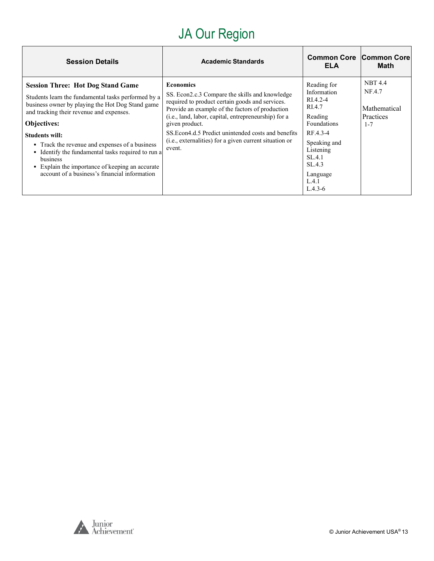# JA Our Region

| <b>Session Details</b>                                                                                                                                                                                                                                                                                                                                 | <b>Academic Standards</b>                                                                                                                                                                                                                                                                                                                                                     | <b>Common Core Common Core</b><br>ELA                                                                                      | Math                                                                    |
|--------------------------------------------------------------------------------------------------------------------------------------------------------------------------------------------------------------------------------------------------------------------------------------------------------------------------------------------------------|-------------------------------------------------------------------------------------------------------------------------------------------------------------------------------------------------------------------------------------------------------------------------------------------------------------------------------------------------------------------------------|----------------------------------------------------------------------------------------------------------------------------|-------------------------------------------------------------------------|
| <b>Session Three: Hot Dog Stand Game</b><br>Students learn the fundamental tasks performed by a<br>business owner by playing the Hot Dog Stand game<br>and tracking their revenue and expenses.<br><b>Objectives:</b><br><b>Students will:</b><br>• Track the revenue and expenses of a business<br>• Identify the fundamental tasks required to run a | <b>Economics</b><br>SS. Econ2.c.3 Compare the skills and knowledge<br>required to product certain goods and services.<br>Provide an example of the factors of production<br>(i.e., land, labor, capital, entrepreneurship) for a<br>given product.<br>SS. Econ4.d.5 Predict unintended costs and benefits<br>(i.e., externalities) for a given current situation or<br>event. | Reading for<br>Information<br>RI.4.2-4<br>RI.4.7<br>Reading<br><b>Foundations</b><br>RF.4.3-4<br>Speaking and<br>Listening | <b>NBT 4.4</b><br>NF.4.7<br>Mathematical<br><b>Practices</b><br>$1 - 7$ |
| business<br>• Explain the importance of keeping an accurate<br>account of a business's financial information                                                                                                                                                                                                                                           |                                                                                                                                                                                                                                                                                                                                                                               | SL.4.1<br>SL.4.3<br>Language<br>L.4.1<br>$L.4.3-6$                                                                         |                                                                         |

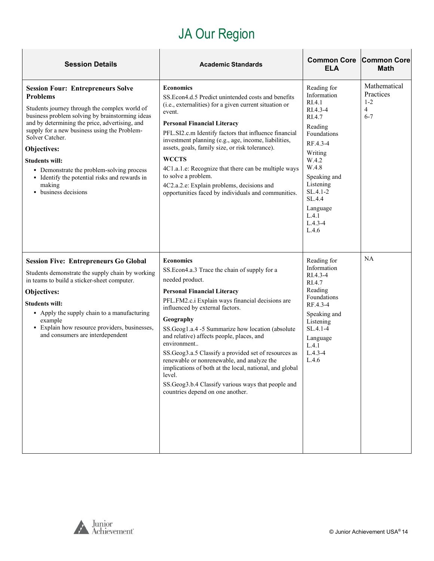# JA Our Region

| <b>Session Details</b>                                                                                                                                                                                                                                                                                                                                                                                                                                       | <b>Academic Standards</b>                                                                                                                                                                                                                                                                                                                                                                                                                                                                                                                                                                                          | <b>Common Core</b><br>ELA                                                                                                                                                                                                     | <b>Common Core</b><br><b>Math</b>                                 |
|--------------------------------------------------------------------------------------------------------------------------------------------------------------------------------------------------------------------------------------------------------------------------------------------------------------------------------------------------------------------------------------------------------------------------------------------------------------|--------------------------------------------------------------------------------------------------------------------------------------------------------------------------------------------------------------------------------------------------------------------------------------------------------------------------------------------------------------------------------------------------------------------------------------------------------------------------------------------------------------------------------------------------------------------------------------------------------------------|-------------------------------------------------------------------------------------------------------------------------------------------------------------------------------------------------------------------------------|-------------------------------------------------------------------|
| <b>Session Four: Entrepreneurs Solve</b><br><b>Problems</b><br>Students journey through the complex world of<br>business problem solving by brainstorming ideas<br>and by determining the price, advertising, and<br>supply for a new business using the Problem-<br>Solver Catcher.<br>Objectives:<br><b>Students will:</b><br>• Demonstrate the problem-solving process<br>• Identify the potential risks and rewards in<br>making<br>• business decisions | <b>Economics</b><br>SS.Econ4.d.5 Predict unintended costs and benefits<br>(i.e., externalities) for a given current situation or<br>event.<br><b>Personal Financial Literacy</b><br>PFL.SI2.c.m Identify factors that influence financial<br>investment planning (e.g., age, income, liabilities,<br>assets, goals, family size, or risk tolerance).<br><b>WCCTS</b><br>4C1.a.1.e: Recognize that there can be multiple ways<br>to solve a problem.<br>4C2.a.2.e: Explain problems, decisions and<br>opportunities faced by individuals and communities.                                                           | Reading for<br>Information<br>RI.4.1<br>RI.4.3-4<br>RI.4.7<br>Reading<br>Foundations<br>RF.4.3-4<br>Writing<br>W.4.2<br>W.4.8<br>Speaking and<br>Listening<br>SL.4.1-2<br>SL.4.4<br>Language<br>L.4.1<br>$L.4.3 - 4$<br>L.4.6 | Mathematical<br>Practices<br>$1 - 2$<br>$\overline{4}$<br>$6 - 7$ |
| <b>Session Five: Entrepreneurs Go Global</b><br>Students demonstrate the supply chain by working<br>in teams to build a sticker-sheet computer.<br>Objectives:<br><b>Students will:</b><br>• Apply the supply chain to a manufacturing<br>example<br>• Explain how resource providers, businesses,<br>and consumers are interdependent                                                                                                                       | <b>Economics</b><br>SS.Econ4.a.3 Trace the chain of supply for a<br>needed product.<br><b>Personal Financial Literacy</b><br>PFL.FM2.c.i Explain ways financial decisions are<br>influenced by external factors.<br>Geography<br>SS.Geog1.a.4 -5 Summarize how location (absolute<br>and relative) affects people, places, and<br>environment<br>SS.Geog3.a.5 Classify a provided set of resources as<br>renewable or nonrenewable, and analyze the<br>implications of both at the local, national, and global<br>level.<br>SS.Geog3.b.4 Classify various ways that people and<br>countries depend on one another. | Reading for<br>Information<br>RI.4.3-4<br>RI.4.7<br>Reading<br>Foundations<br>RF.4.3-4<br>Speaking and<br>Listening<br>$SL.4.1 - 4$<br>Language<br>L.4.1<br>$L.4.3 - 4$<br>L.4.6                                              | NA                                                                |

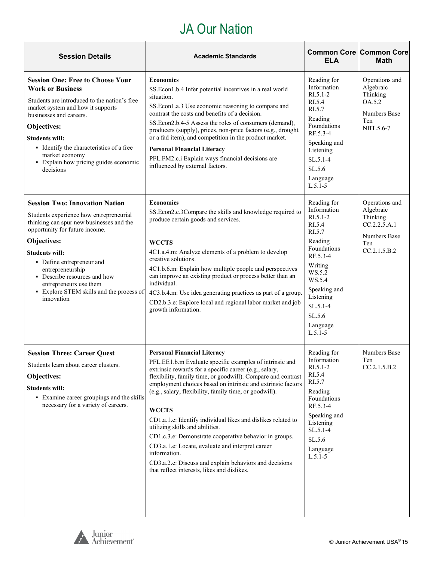#### JA Our Nation

| <b>Session Details</b>                                                                                                                                                                                                                                                                                                                                                      | <b>Academic Standards</b>                                                                                                                                                                                                                                                                                                                                                                                                                                                                                                                                                                                                                                                                                  | <b>Common Core Common Core</b><br><b>ELA</b>                                                                                                                                                                    | <b>Math</b>                                                                                    |
|-----------------------------------------------------------------------------------------------------------------------------------------------------------------------------------------------------------------------------------------------------------------------------------------------------------------------------------------------------------------------------|------------------------------------------------------------------------------------------------------------------------------------------------------------------------------------------------------------------------------------------------------------------------------------------------------------------------------------------------------------------------------------------------------------------------------------------------------------------------------------------------------------------------------------------------------------------------------------------------------------------------------------------------------------------------------------------------------------|-----------------------------------------------------------------------------------------------------------------------------------------------------------------------------------------------------------------|------------------------------------------------------------------------------------------------|
| <b>Session One: Free to Choose Your</b><br><b>Work or Business</b><br>Students are introduced to the nation's free<br>market system and how it supports<br>businesses and careers.<br>Objectives:<br><b>Students will:</b><br>• Identify the characteristics of a free<br>market economy<br>• Explain how pricing guides economic<br>decisions                              | <b>Economics</b><br>SS.Econ1.b.4 Infer potential incentives in a real world<br>situation.<br>SS.Econ1.a.3 Use economic reasoning to compare and<br>contrast the costs and benefits of a decision.<br>SS.Econ2.b.4-5 Assess the roles of consumers (demand),<br>producers (supply), prices, non-price factors (e.g., drought<br>or a fad item), and competition in the product market.<br><b>Personal Financial Literacy</b><br>PFL.FM2.c.i Explain ways financial decisions are<br>influenced by external factors.                                                                                                                                                                                         | Reading for<br>Information<br>$R1.5.1-2$<br>RI.5.4<br>RI.5.7<br>Reading<br>Foundations<br>RF.5.3-4<br>Speaking and<br>Listening<br>$SL.5.1-4$<br>SL.5.6<br>Language<br>$L.5.1 - 5$                              | Operations and<br>Algebraic<br>Thinking<br>OA.5.2<br><b>Numbers Base</b><br>Ten<br>NBT.5.6-7   |
| <b>Session Two: Innovation Nation</b><br>Students experience how entrepreneurial<br>thinking can spur new businesses and the<br>opportunity for future income.<br>Objectives:<br><b>Students will:</b><br>• Define entrepreneur and<br>entrepreneurship<br>• Describe resources and how<br>entrepreneurs use them<br>• Explore STEM skills and the process of<br>innovation | <b>Economics</b><br>SS.Econ2.c.3Compare the skills and knowledge required to<br>produce certain goods and services.<br><b>WCCTS</b><br>4C1.a.4.m: Analyze elements of a problem to develop<br>creative solutions.<br>4C1.b.6.m: Explain how multiple people and perspectives<br>can improve an existing product or process better than an<br>individual.<br>4C3.b.4.m: Use idea generating practices as part of a group.<br>CD2.b.3.e: Explore local and regional labor market and job<br>growth information.                                                                                                                                                                                              | Reading for<br>Information<br>$RI.5.1-2$<br>RI.5.4<br>RI.5.7<br>Reading<br>Foundations<br>RF.5.3-4<br>Writing<br>WS.5.2<br>WS.5.4<br>Speaking and<br>Listening<br>SL.5.1-4<br>SL.5.6<br>Language<br>$L.5.1 - 5$ | Operations and<br>Algebraic<br>Thinking<br>CC.2.2.5.A.1<br>Numbers Base<br>Ten<br>CC.2.1.5.B.2 |
| <b>Session Three: Career Quest</b><br>Students learn about career clusters.<br>Objectives:<br><b>Students will:</b><br>• Examine career groupings and the skills<br>necessary for a variety of careers.                                                                                                                                                                     | <b>Personal Financial Literacy</b><br>PFL.EE1.b.m Evaluate specific examples of intrinsic and<br>extrinsic rewards for a specific career (e.g., salary,<br>flexibility, family time, or goodwill). Compare and contrast<br>employment choices based on intrinsic and extrinsic factors<br>(e.g., salary, flexibility, family time, or goodwill).<br><b>WCCTS</b><br>CD1.a.1.e: Identify individual likes and dislikes related to<br>utilizing skills and abilities.<br>CD1.c.3.e: Demonstrate cooperative behavior in groups.<br>CD3.a.1.e: Locate, evaluate and interpret career<br>information.<br>CD3.a.2.e: Discuss and explain behaviors and decisions<br>that reflect interests, likes and dislikes. | Reading for<br>Information<br>$RI.5.1-2$<br>RI.5.4<br>RI.5.7<br>Reading<br>Foundations<br>RF.5.3-4<br>Speaking and<br>Listening<br>SL.5.1-4<br>SL.5.6<br>Language<br>$L.5.1 - 5$                                | Numbers Base<br>Ten<br>CC.2.1.5.B.2                                                            |

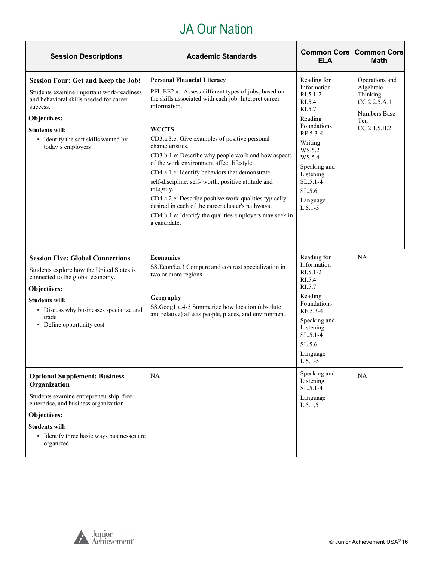#### JA Our Nation

| <b>Session Descriptions</b>                                                                                                                                                                                                                         | <b>Academic Standards</b>                                                                                                                                                                                                                                                                                                                                                                                                                                                                                                                                                                                                                                                   | <b>Common Core</b><br>ELA                                                                                                                                                                                         | <b>Common Core</b><br><b>Math</b>                                                              |
|-----------------------------------------------------------------------------------------------------------------------------------------------------------------------------------------------------------------------------------------------------|-----------------------------------------------------------------------------------------------------------------------------------------------------------------------------------------------------------------------------------------------------------------------------------------------------------------------------------------------------------------------------------------------------------------------------------------------------------------------------------------------------------------------------------------------------------------------------------------------------------------------------------------------------------------------------|-------------------------------------------------------------------------------------------------------------------------------------------------------------------------------------------------------------------|------------------------------------------------------------------------------------------------|
| <b>Session Four: Get and Keep the Job!</b><br>Students examine important work-readiness<br>and behavioral skills needed for career<br>success.<br>Objectives:<br><b>Students will:</b><br>· Identify the soft skills wanted by<br>today's employers | <b>Personal Financial Literacy</b><br>PFL.EE2.a.i Assess different types of jobs, based on<br>the skills associated with each job. Interpret career<br>information.<br><b>WCCTS</b><br>CD3.a.3.e: Give examples of positive personal<br>characteristics.<br>CD3.b.1.e: Describe why people work and how aspects<br>of the work environment affect lifestyle.<br>CD4.a.1.e: Identify behaviors that demonstrate<br>self-discipline, self-worth, positive attitude and<br>integrity.<br>CD4.a.2.e: Describe positive work-qualities typically<br>desired in each of the career cluster's pathways.<br>CD4.b.1.e: Identify the qualities employers may seek in<br>a candidate. | Reading for<br>Information<br>$R1.5.1-2$<br>RI.5.4<br>RI.5.7<br>Reading<br>Foundations<br>RF.5.3-4<br>Writing<br>WS.5.2<br>WS.5.4<br>Speaking and<br>Listening<br>$SL.5.1-4$<br>SL.5.6<br>Language<br>$L.5.1 - 5$ | Operations and<br>Algebraic<br>Thinking<br>CC.2.2.5.A.1<br>Numbers Base<br>Ten<br>CC.2.1.5.B.2 |
| <b>Session Five: Global Connections</b><br>Students explore how the United States is<br>connected to the global economy.<br>Objectives:<br><b>Students will:</b><br>• Discuss why businesses specialize and<br>trade<br>• Define opportunity cost   | <b>Economics</b><br>SS.Econ5.a.3 Compare and contrast specialization in<br>two or more regions.<br>Geography<br>SS.Geog1.a.4-5 Summarize how location (absolute<br>and relative) affects people, places, and environment.                                                                                                                                                                                                                                                                                                                                                                                                                                                   | Reading for<br>Information<br>$RI.5.1-2$<br>RI.5.4<br>RI.5.7<br>Reading<br>Foundations<br>RF.5.3-4<br>Speaking and<br>Listening<br>$SL.5.1-4$<br>SL.5.6<br>Language<br>$L.5.1-5$                                  | NA                                                                                             |
| <b>Optional Supplement: Business</b><br>Organization<br>Students examine entrepreneurship, free<br>enterprise, and business organization.<br>Objectives:<br><b>Students will:</b><br>• Identify three basic ways businesses are<br>organized.       | <b>NA</b>                                                                                                                                                                                                                                                                                                                                                                                                                                                                                                                                                                                                                                                                   | Speaking and<br>Listening<br>SL.5.1-4<br>Language<br>L.5.1, 5                                                                                                                                                     | NA                                                                                             |

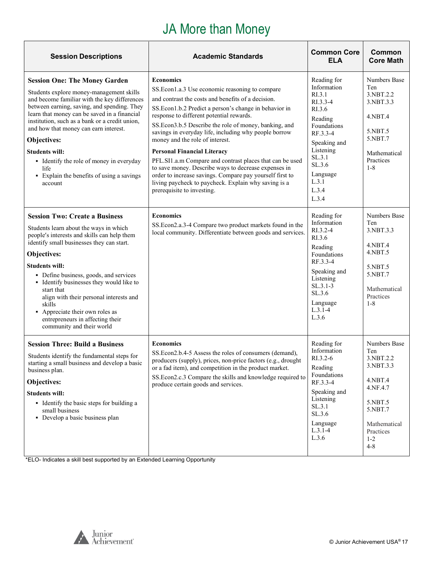# JA More than Money

<span id="page-16-0"></span>

| <b>Session Descriptions</b>                                                                                                                                                                                                                                                                                                                                                                                                                                                      | <b>Academic Standards</b>                                                                                                                                                                                                                                                                                                                                                                                                                                                                                                                                                                                                                                                                       | <b>Common Core</b><br><b>ELA</b>                                                                                                                                                         | Common<br><b>Core Math</b>                                                                                                                    |
|----------------------------------------------------------------------------------------------------------------------------------------------------------------------------------------------------------------------------------------------------------------------------------------------------------------------------------------------------------------------------------------------------------------------------------------------------------------------------------|-------------------------------------------------------------------------------------------------------------------------------------------------------------------------------------------------------------------------------------------------------------------------------------------------------------------------------------------------------------------------------------------------------------------------------------------------------------------------------------------------------------------------------------------------------------------------------------------------------------------------------------------------------------------------------------------------|------------------------------------------------------------------------------------------------------------------------------------------------------------------------------------------|-----------------------------------------------------------------------------------------------------------------------------------------------|
| <b>Session One: The Money Garden</b><br>Students explore money-management skills<br>and become familiar with the key differences<br>between earning, saving, and spending. They<br>learn that money can be saved in a financial<br>institution, such as a bank or a credit union,<br>and how that money can earn interest.<br>Objectives:<br><b>Students will:</b><br>• Identify the role of money in everyday<br>life<br>• Explain the benefits of using a savings<br>account   | <b>Economics</b><br>SS. Econ1.a.3 Use economic reasoning to compare<br>and contrast the costs and benefits of a decision.<br>SS.Econ1.b.2 Predict a person's change in behavior in<br>response to different potential rewards.<br>SS.Econ3.b.5 Describe the role of money, banking, and<br>savings in everyday life, including why people borrow<br>money and the role of interest.<br><b>Personal Financial Literacy</b><br>PFL.SI1.a.m Compare and contrast places that can be used<br>to save money. Describe ways to decrease expenses in<br>order to increase savings. Compare pay yourself first to<br>living paycheck to paycheck. Explain why saving is a<br>prerequisite to investing. | Reading for<br>Information<br>RI.3.1<br>RI.3.3-4<br>RI.3.6<br>Reading<br>Foundations<br>RF.3.3-4<br>Speaking and<br>Listening<br>SL.3.1<br>SL.3.6<br>Language<br>L.3.1<br>L.3.4<br>L.3.4 | Numbers Base<br>Ten<br>3.NBT.2.2<br>3.NBT.3.3<br>4.NBT.4<br>5.NBT.5<br>5.NBT.7<br>Mathematical<br>Practices<br>$1 - 8$                        |
| <b>Session Two: Create a Business</b><br>Students learn about the ways in which<br>people's interests and skills can help them<br>identify small businesses they can start.<br>Objectives:<br><b>Students will:</b><br>• Define business, goods, and services<br>• Identify businesses they would like to<br>start that<br>align with their personal interests and<br>skills<br>• Appreciate their own roles as<br>entrepreneurs in affecting their<br>community and their world | <b>Economics</b><br>SS.Econ2.a.3-4 Compare two product markets found in the<br>local community. Differentiate between goods and services.                                                                                                                                                                                                                                                                                                                                                                                                                                                                                                                                                       | Reading for<br>Information<br>RI.3.2-4<br>RI.3.6<br>Reading<br>Foundations<br>RF.3.3-4<br>Speaking and<br>Listening<br>$SL.3.1-3$<br>SL.3.6<br>Language<br>$L.3.1 - 4$<br>L.3.6          | Numbers Base<br>Ten<br>3.NBT.3.3<br>4.NBT.4<br>4.NBT.5<br>5.NBT.5<br>5.NBT.7<br>Mathematical<br>Practices<br>$1 - 8$                          |
| <b>Session Three: Build a Business</b><br>Students identify the fundamental steps for<br>starting a small business and develop a basic<br>business plan.<br>Objectives:<br><b>Students will:</b><br>• Identify the basic steps for building a<br>small business<br>• Develop a basic business plan                                                                                                                                                                               | <b>Economics</b><br>SS.Econ2.b.4-5 Assess the roles of consumers (demand),<br>producers (supply), prices, non-price factors (e.g., drought<br>or a fad item), and competition in the product market.<br>SS.Econ2.c.3 Compare the skills and knowledge required to<br>produce certain goods and services.                                                                                                                                                                                                                                                                                                                                                                                        | Reading for<br>Information<br>RI.3.2-6<br>Reading<br>Foundations<br>RF.3.3-4<br>Speaking and<br>Listening<br>SL.3.1<br>SL.3.6<br>Language<br>$L.3.1-4$<br>L.3.6                          | Numbers Base<br>Ten<br>3.NBT.2.2<br>3.NBT.3.3<br>4.NBT.4<br>4.NF.4.7<br>5.NBT.5<br>5.NBT.7<br>Mathematical<br>Practices<br>$1 - 2$<br>$4 - 8$ |

\*ELO- Indicates a skill best supported by an Extended Learning Opportunity

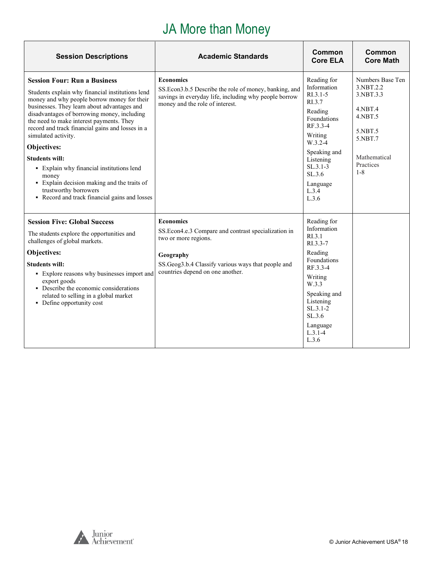## JA More than Money

| <b>Session Descriptions</b>                                                                                                                                                                                                                                                                                                                                                                                                                                                                                                                                                        | <b>Academic Standards</b>                                                                                                                                                                               | Common<br><b>Core ELA</b>                                                                                                                                                                             | Common<br><b>Core Math</b>                                                                                                           |
|------------------------------------------------------------------------------------------------------------------------------------------------------------------------------------------------------------------------------------------------------------------------------------------------------------------------------------------------------------------------------------------------------------------------------------------------------------------------------------------------------------------------------------------------------------------------------------|---------------------------------------------------------------------------------------------------------------------------------------------------------------------------------------------------------|-------------------------------------------------------------------------------------------------------------------------------------------------------------------------------------------------------|--------------------------------------------------------------------------------------------------------------------------------------|
| <b>Session Four: Run a Business</b><br>Students explain why financial institutions lend<br>money and why people borrow money for their<br>businesses. They learn about advantages and<br>disadvantages of borrowing money, including<br>the need to make interest payments. They<br>record and track financial gains and losses in a<br>simulated activity.<br>Objectives:<br><b>Students will:</b><br>• Explain why financial institutions lend<br>money<br>• Explain decision making and the traits of<br>trustworthy borrowers<br>• Record and track financial gains and losses | <b>Economics</b><br>SS. Econ 3.b.5 Describe the role of money, banking, and<br>savings in everyday life, including why people borrow<br>money and the role of interest.                                 | Reading for<br>Information<br>$R1.3.1-5$<br>RI.3.7<br>Reading<br>Foundations<br>RF.3.3-4<br>Writing<br>$W.3.2 - 4$<br>Speaking and<br>Listening<br>$SL.3.1-3$<br>SL.3.6<br>Language<br>L.3.4<br>L.3.6 | Numbers Base Ten<br>3.NBT.2.2<br>3.NBT.3.3<br>$4.$ NBT $.4$<br>4.NBT.5<br>5.NBT.5<br>5.NBT.7<br>Mathematical<br>Practices<br>$1 - 8$ |
| <b>Session Five: Global Success</b><br>The students explore the opportunities and<br>challenges of global markets.<br>Objectives:<br><b>Students will:</b><br>• Explore reasons why businesses import and<br>export goods<br>• Describe the economic considerations<br>related to selling in a global market<br>• Define opportunity cost                                                                                                                                                                                                                                          | <b>Economics</b><br>SS. Econ4.e.3 Compare and contrast specialization in<br>two or more regions.<br>Geography<br>SS.Geog3.b.4 Classify various ways that people and<br>countries depend on one another. | Reading for<br>Information<br>RI.3.1<br>RI.3.3-7<br>Reading<br>Foundations<br>RF.3.3-4<br>Writing<br>W.3.3<br>Speaking and<br>Listening<br>SL.3.1-2<br>SL.3.6<br>Language<br>$L.3.1 - 4$<br>L.3.6     |                                                                                                                                      |



**r**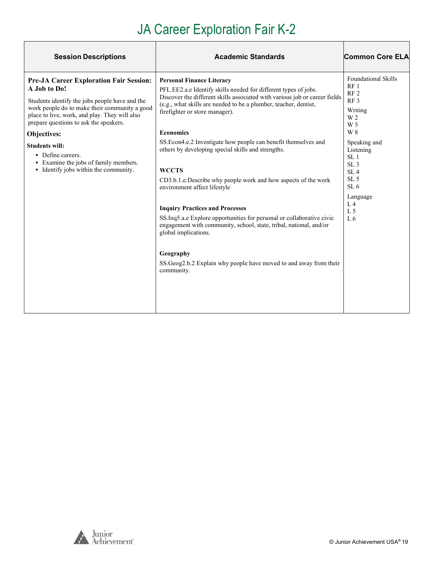# JA Career Exploration Fair K-2

| <b>Session Descriptions</b>                                                                                                                                                                                                                                                                                                                                                                                 | <b>Academic Standards</b>                                                                                                                                                                                                                                                                                                                                                                                                                                                                                                                                                                                                                                                                                                                                                                                                                                               | <b>Common Core ELA</b>                                                                                                                                                                                                                                                                                                       |
|-------------------------------------------------------------------------------------------------------------------------------------------------------------------------------------------------------------------------------------------------------------------------------------------------------------------------------------------------------------------------------------------------------------|-------------------------------------------------------------------------------------------------------------------------------------------------------------------------------------------------------------------------------------------------------------------------------------------------------------------------------------------------------------------------------------------------------------------------------------------------------------------------------------------------------------------------------------------------------------------------------------------------------------------------------------------------------------------------------------------------------------------------------------------------------------------------------------------------------------------------------------------------------------------------|------------------------------------------------------------------------------------------------------------------------------------------------------------------------------------------------------------------------------------------------------------------------------------------------------------------------------|
| <b>Pre-JA Career Exploration Fair Session:</b><br>A Job to Do!<br>Students identify the jobs people have and the<br>work people do to make their community a good<br>place to live, work, and play. They will also<br>prepare questions to ask the speakers.<br>Objectives:<br><b>Students will:</b><br>• Define careers.<br>• Examine the jobs of family members.<br>• Identify jobs within the community. | <b>Personal Finance Literacy</b><br>PFL.EE2.a.e Identify skills needed for different types of jobs.<br>Discover the different skills associated with various job or career fields<br>(e.g., what skills are needed to be a plumber, teacher, dentist,<br>firefighter or store manager).<br><b>Economics</b><br>SS.Econ4.e.2 Investigate how people can benefit themselves and<br>others by developing special skills and strengths.<br><b>WCCTS</b><br>CD3.b.1.e:Describe why people work and how aspects of the work<br>environment affect lifestyle<br><b>Inquiry Practices and Processes</b><br>SS.Inq5.a.e Explore opportunities for personal or collaborative civic<br>engagement with community, school, state, tribal, national, and/or<br>global implications.<br>Geography<br>SS. Geog2.b.2 Explain why people have moved to and away from their<br>community. | <b>Foundational Skills</b><br>RF <sub>1</sub><br>RF <sub>2</sub><br>RF <sub>3</sub><br>Writing<br>W <sub>2</sub><br>W 5<br>W 8<br>Speaking and<br>Listening<br>SL <sub>1</sub><br>SL <sub>3</sub><br>SL <sub>4</sub><br>SL <sub>5</sub><br>SL <sub>6</sub><br>Language<br>L <sub>4</sub><br>L <sub>5</sub><br>L <sub>6</sub> |

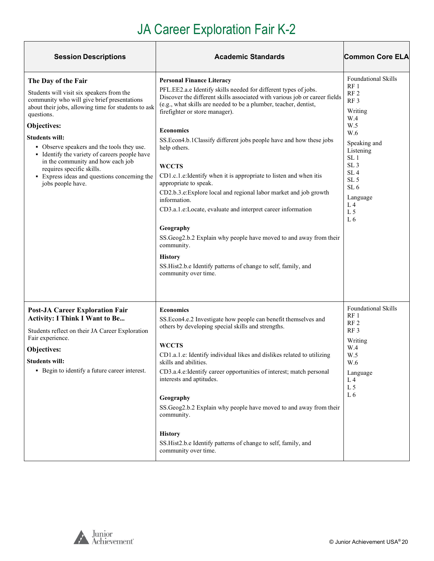# JA Career Exploration Fair K-2

| <b>Session Descriptions</b>                                                                                                                                                                                                                                                                                                                                                                                                                                        | <b>Academic Standards</b>                                                                                                                                                                                                                                                                                                                                                                                                                                                                                                                                                                                                                                                                                                                                                                                                                                                       | <b>Common Core ELA</b>                                                                                                                                                                                                                                                                                |
|--------------------------------------------------------------------------------------------------------------------------------------------------------------------------------------------------------------------------------------------------------------------------------------------------------------------------------------------------------------------------------------------------------------------------------------------------------------------|---------------------------------------------------------------------------------------------------------------------------------------------------------------------------------------------------------------------------------------------------------------------------------------------------------------------------------------------------------------------------------------------------------------------------------------------------------------------------------------------------------------------------------------------------------------------------------------------------------------------------------------------------------------------------------------------------------------------------------------------------------------------------------------------------------------------------------------------------------------------------------|-------------------------------------------------------------------------------------------------------------------------------------------------------------------------------------------------------------------------------------------------------------------------------------------------------|
| The Day of the Fair<br>Students will visit six speakers from the<br>community who will give brief presentations<br>about their jobs, allowing time for students to ask<br>questions.<br>Objectives:<br><b>Students will:</b><br>• Observe speakers and the tools they use.<br>• Identify the variety of careers people have<br>in the community and how each job<br>requires specific skills.<br>• Express ideas and questions concerning the<br>jobs people have. | <b>Personal Finance Literacy</b><br>PFL.EE2.a.e Identify skills needed for different types of jobs.<br>Discover the different skills associated with various job or career fields<br>(e.g., what skills are needed to be a plumber, teacher, dentist,<br>firefighter or store manager).<br><b>Economics</b><br>SS.Econ4.b.1Classify different jobs people have and how these jobs<br>help others.<br><b>WCCTS</b><br>CD1.c.1.e: Identify when it is appropriate to listen and when itis<br>appropriate to speak.<br>CD2.b.3.e: Explore local and regional labor market and job growth<br>information.<br>CD3.a.1.e:Locate, evaluate and interpret career information<br>Geography<br>SS.Geog2.b.2 Explain why people have moved to and away from their<br>community.<br><b>History</b><br>SS.Hist2.b.e Identify patterns of change to self, family, and<br>community over time. | <b>Foundational Skills</b><br>RF <sub>1</sub><br>RF <sub>2</sub><br>RF <sub>3</sub><br>Writing<br>W.4<br>W.5<br>W.6<br>Speaking and<br>Listening<br>SL <sub>1</sub><br>SL <sub>3</sub><br>SL <sub>4</sub><br>SL <sub>5</sub><br>SL <sub>6</sub><br>Language<br>L <sub>4</sub><br>L <sub>5</sub><br>L6 |
| <b>Post-JA Career Exploration Fair</b><br><b>Activity: I Think I Want to Be</b><br>Students reflect on their JA Career Exploration<br>Fair experience.<br>Objectives:<br>Students will:<br>• Begin to identify a future career interest.                                                                                                                                                                                                                           | <b>Economics</b><br>SS.Econ4.e.2 Investigate how people can benefit themselves and<br>others by developing special skills and strengths.<br>WCCTS<br>CD1.a.1.e: Identify individual likes and dislikes related to utilizing<br>skills and abilities.<br>CD3.a.4.e:Identify career opportunities of interest; match personal<br>interests and aptitudes.<br>Geography<br>SS.Geog2.b.2 Explain why people have moved to and away from their<br>community.<br><b>History</b><br>SS.Hist2.b.e Identify patterns of change to self, family, and<br>community over time.                                                                                                                                                                                                                                                                                                              | <b>Foundational Skills</b><br>RF <sub>1</sub><br>RF <sub>2</sub><br>RF <sub>3</sub><br>Writing<br>W.4<br>W.5<br>W.6<br>Language<br>L <sub>4</sub><br>L <sub>5</sub><br>L6                                                                                                                             |



 $\overline{\mathbf{1}}$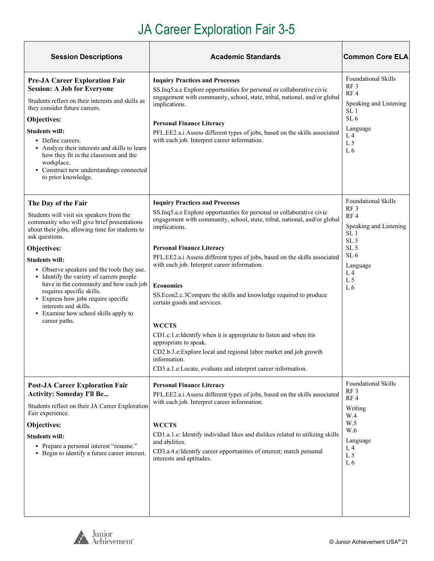# JA Career Exploration Fair 3-5

| <b>Session Descriptions</b>                                                                                                                                                                                                                                                                                                                                                                                                                                                                     | <b>Academic Standards</b>                                                                                                                                                                                                                                                                                                                                                                                                                                                                                                                                                                                                                               | <b>Common Core ELA</b>                                                                                                                                                                 |
|-------------------------------------------------------------------------------------------------------------------------------------------------------------------------------------------------------------------------------------------------------------------------------------------------------------------------------------------------------------------------------------------------------------------------------------------------------------------------------------------------|---------------------------------------------------------------------------------------------------------------------------------------------------------------------------------------------------------------------------------------------------------------------------------------------------------------------------------------------------------------------------------------------------------------------------------------------------------------------------------------------------------------------------------------------------------------------------------------------------------------------------------------------------------|----------------------------------------------------------------------------------------------------------------------------------------------------------------------------------------|
| <b>Pre-JA Career Exploration Fair</b><br><b>Session: A Job for Everyone</b><br>Students reflect on their interests and skills as<br>they consider future careers.<br>Objectives:<br><b>Students will:</b><br>• Define careers.<br>• Analyze their interests and skills to learn<br>how they fit in the classroom and the<br>workplace.<br>• Construct new understandings connected<br>to prior knowledge.                                                                                       | <b>Inquiry Practices and Processes</b><br>SS.Inq5.a.e Explore opportunities for personal or collaborative civic<br>engagement with community, school, state, tribal, national, and/or global<br>implications.<br><b>Personal Finance Literacy</b><br>PFL.EE2.a.i Assess different types of jobs, based on the skills associated<br>with each job. Interpret career information.                                                                                                                                                                                                                                                                         | <b>Foundational Skills</b><br>RF <sub>3</sub><br>RF <sub>4</sub><br>Speaking and Listening<br>SL <sub>1</sub><br>SL <sub>6</sub><br>Language<br>L <sub>4</sub><br>L <sub>5</sub><br>L6 |
| The Day of the Fair                                                                                                                                                                                                                                                                                                                                                                                                                                                                             | <b>Inquiry Practices and Processes</b><br>SS.Inq5.a.e Explore opportunities for personal or collaborative civic                                                                                                                                                                                                                                                                                                                                                                                                                                                                                                                                         | <b>Foundational Skills</b><br>RF <sub>3</sub>                                                                                                                                          |
| Students will visit six speakers from the<br>community who will give brief presentations<br>about their jobs, allowing time for students to<br>ask questions.<br>Objectives:<br><b>Students will:</b><br>• Observe speakers and the tools they use.<br>• Identify the variety of careers people<br>have in the community and how each job<br>requires specific skills.<br>• Express how jobs require specific<br>interests and skills.<br>• Examine how school skills apply to<br>career paths. | engagement with community, school, state, tribal, national, and/or global<br>implications.<br><b>Personal Finance Literacy</b><br>PFL.EE2.a.i Assess different types of jobs, based on the skills associated<br>with each job. Interpret career information.<br><b>Economics</b><br>SS.Econ2.c.3Compare the skills and knowledge required to produce<br>certain goods and services.<br><b>WCCTS</b><br>CD1.c.1.e: Identify when it is appropriate to listen and when itis<br>appropriate to speak.<br>CD2.b.3.e: Explore local and regional labor market and job growth<br>information.<br>CD3.a.1.e:Locate, evaluate and interpret career information. | RF4<br>Speaking and Listening<br>SL <sub>1</sub><br>SL <sub>3</sub><br>SL <sub>5</sub><br>SL <sub>6</sub><br>Language<br>L <sub>4</sub><br>L <sub>5</sub><br>L <sub>6</sub>            |
| <b>Post-JA Career Exploration Fair</b><br><b>Activity: Someday I'll Be</b><br>Students reflect on their JA Career Exploration<br>Fair experience.<br>Objectives:<br><b>Students will:</b><br>• Prepare a personal interest "resume."<br>• Begin to identify a future career interest.                                                                                                                                                                                                           | <b>Personal Finance Literacy</b><br>PFL.EE2.a.i Assess different types of jobs, based on the skills associated<br>with each job. Interpret career information.<br><b>WCCTS</b><br>CD1.a.1.e: Identify individual likes and dislikes related to utilizing skills<br>and abilities.<br>CD3.a.4.e:Identify career opportunities of interest; match personal<br>interests and aptitudes.                                                                                                                                                                                                                                                                    | <b>Foundational Skills</b><br>RF <sub>3</sub><br>RF4<br>Writing<br>W.4<br>W.5<br>W.6<br>Language<br>$L_4$<br>L <sub>5</sub><br>L6                                                      |



 $\overline{1}$ 

 $\overline{\mathbf{1}}$